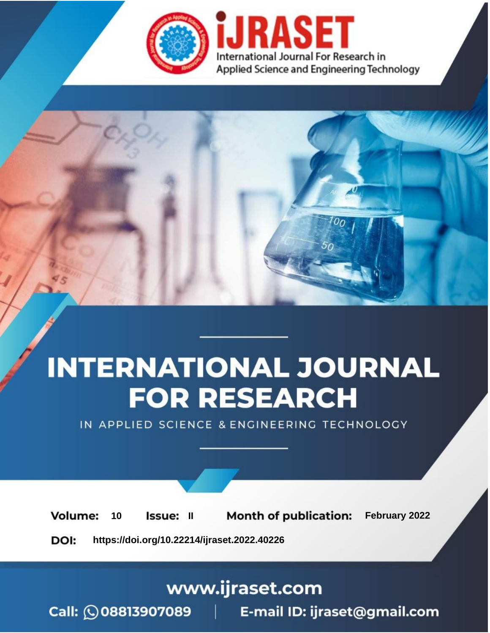

# **INTERNATIONAL JOURNAL FOR RESEARCH**

IN APPLIED SCIENCE & ENGINEERING TECHNOLOGY

**Month of publication:** February 2022 **Volume:** 10 **Issue: II** DOI: https://doi.org/10.22214/ijraset.2022.40226

www.ijraset.com

 $Call: \bigcirc$ 08813907089 E-mail ID: ijraset@gmail.com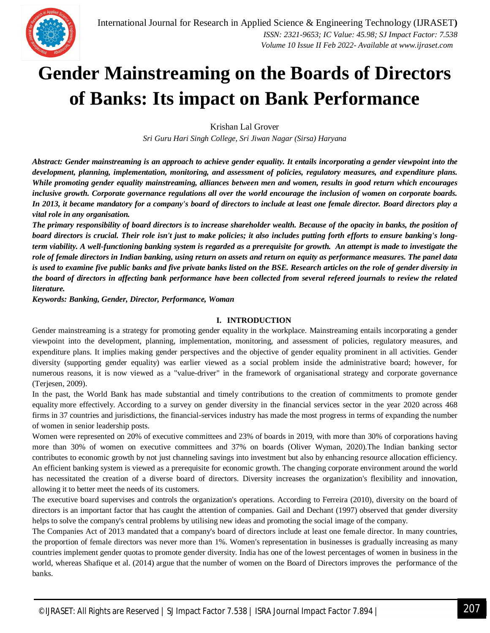

### **Gender Mainstreaming on the Boards of Directors of Banks: Its impact on Bank Performance**

Krishan Lal Grover

*Sri Guru Hari Singh College, Sri Jiwan Nagar (Sirsa) Haryana*

*Abstract: Gender mainstreaming is an approach to achieve gender equality. It entails incorporating a gender viewpoint into the development, planning, implementation, monitoring, and assessment of policies, regulatory measures, and expenditure plans. While promoting gender equality mainstreaming, alliances between men and women, results in good return which encourages inclusive growth. Corporate governance regulations all over the world encourage the inclusion of women on corporate boards. In 2013, it became mandatory for a company's board of directors to include at least one female director. Board directors play a vital role in any organisation.* 

*The primary responsibility of board directors is to increase shareholder wealth. Because of the opacity in banks, the position of board directors is crucial. Their role isn't just to make policies; it also includes putting forth efforts to ensure banking's longterm viability. A well-functioning banking system is regarded as a prerequisite for growth. An attempt is made to investigate the role of female directors in Indian banking, using return on assets and return on equity as performance measures. The panel data is used to examine five public banks and five private banks listed on the BSE. Research articles on the role of gender diversity in the board of directors in affecting bank performance have been collected from several refereed journals to review the related literature.*

*Keywords: Banking, Gender, Director, Performance, Woman*

#### **I. INTRODUCTION**

Gender mainstreaming is a strategy for promoting gender equality in the workplace. Mainstreaming entails incorporating a gender viewpoint into the development, planning, implementation, monitoring, and assessment of policies, regulatory measures, and expenditure plans. It implies making gender perspectives and the objective of gender equality prominent in all activities. Gender diversity (supporting gender equality) was earlier viewed as a social problem inside the administrative board; however, for numerous reasons, it is now viewed as a "value-driver" in the framework of organisational strategy and corporate governance (Terjesen, 2009).

In the past, the World Bank has made substantial and timely contributions to the creation of commitments to promote gender equality more effectively. According to a survey on gender diversity in the financial services sector in the year 2020 across 468 firms in 37 countries and jurisdictions, the financial-services industry has made the most progress in terms of expanding the number of women in senior leadership posts.

Women were represented on 20% of executive committees and 23% of boards in 2019, with more than 30% of corporations having more than 30% of women on executive committees and 37% on boards (Oliver Wyman, 2020).The Indian banking sector contributes to economic growth by not just channeling savings into investment but also by enhancing resource allocation efficiency. An efficient banking system is viewed as a prerequisite for economic growth. The changing corporate environment around the world has necessitated the creation of a diverse board of directors. Diversity increases the organization's flexibility and innovation, allowing it to better meet the needs of its customers.

The executive board supervises and controls the organization's operations. According to Ferreira (2010), diversity on the board of directors is an important factor that has caught the attention of companies. Gail and Dechant (1997) observed that gender diversity helps to solve the company's central problems by utilising new ideas and promoting the social image of the company.

The Companies Act of 2013 mandated that a company's board of directors include at least one female director. In many countries, the proportion of female directors was never more than 1%. Women's representation in businesses is gradually increasing as many countries implement gender quotas to promote gender diversity. India has one of the lowest percentages of women in business in the world, whereas Shafique et al. (2014) argue that the number of women on the Board of Directors improves the performance of the banks.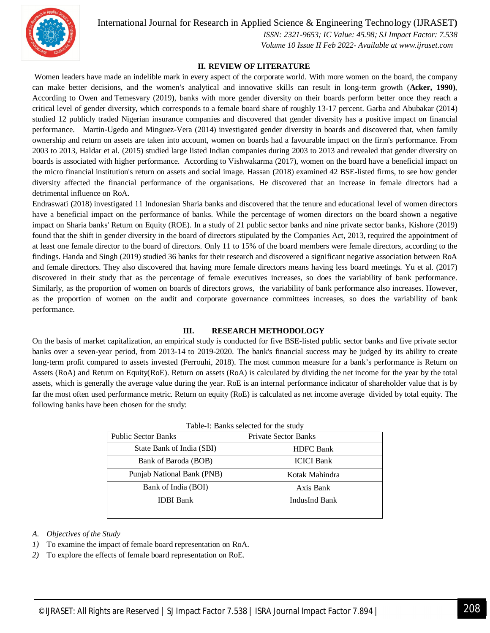

International Journal for Research in Applied Science & Engineering Technology (IJRASET**)**

 *ISSN: 2321-9653; IC Value: 45.98; SJ Impact Factor: 7.538 Volume 10 Issue II Feb 2022- Available at www.ijraset.com*

#### **II. REVIEW OF LITERATURE**

Women leaders have made an indelible mark in every aspect of the corporate world. With more women on the board, the company can make better decisions, and the women's analytical and innovative skills can result in long-term growth (**Acker, 1990)**, According to Owen and Temesvary (2019), banks with more gender diversity on their boards perform better once they reach a critical level of gender diversity, which corresponds to a female board share of roughly 13-17 percent. Garba and Abubakar (2014) studied 12 publicly traded Nigerian insurance companies and discovered that gender diversity has a positive impact on financial performance. Martin-Ugedo and Minguez-Vera (2014) investigated gender diversity in boards and discovered that, when family ownership and return on assets are taken into account, women on boards had a favourable impact on the firm's performance. From 2003 to 2013, Haldar et al. (2015) studied large listed Indian companies during 2003 to 2013 and revealed that gender diversity on boards is associated with higher performance. According to Vishwakarma (2017), women on the board have a beneficial impact on the micro financial institution's return on assets and social image. Hassan (2018) examined 42 BSE-listed firms, to see how gender diversity affected the financial performance of the organisations. He discovered that an increase in female directors had a detrimental influence on RoA.

Endraswati (2018) investigated 11 Indonesian Sharia banks and discovered that the tenure and educational level of women directors have a beneficial impact on the performance of banks. While the percentage of women directors on the board shown a negative impact on Sharia banks' Return on Equity (ROE). In a study of 21 public sector banks and nine private sector banks, Kishore (2019) found that the shift in gender diversity in the board of directors stipulated by the Companies Act, 2013, required the appointment of at least one female director to the board of directors. Only 11 to 15% of the board members were female directors, according to the findings. Handa and Singh (2019) studied 36 banks for their research and discovered a significant negative association between RoA and female directors. They also discovered that having more female directors means having less board meetings. Yu et al. (2017) discovered in their study that as the percentage of female executives increases, so does the variability of bank performance. Similarly, as the proportion of women on boards of directors grows, the variability of bank performance also increases. However, as the proportion of women on the audit and corporate governance committees increases, so does the variability of bank performance.

#### **III. RESEARCH METHODOLOGY**

On the basis of market capitalization, an empirical study is conducted for five BSE-listed public sector banks and five private sector banks over a seven-year period, from 2013-14 to 2019-2020. The bank's financial success may be judged by its ability to create long-term profit compared to assets invested (Ferrouhi, 2018). The most common measure for a bank's performance is Return on Assets (RoA) and Return on Equity(RoE). Return on assets (RoA) is calculated by dividing the net income for the year by the total assets, which is generally the average value during the year. RoE is an internal performance indicator of shareholder value that is by far the most often used performance metric. Return on equity (RoE) is calculated as net income average divided by total equity. The following banks have been chosen for the study:

| racio il Dallito screeted for the state, |                             |  |  |  |  |  |  |
|------------------------------------------|-----------------------------|--|--|--|--|--|--|
| <b>Public Sector Banks</b>               | <b>Private Sector Banks</b> |  |  |  |  |  |  |
| State Bank of India (SBI)                | <b>HDFC</b> Bank            |  |  |  |  |  |  |
| Bank of Baroda (BOB)                     | <b>ICICI</b> Bank           |  |  |  |  |  |  |
| Punjab National Bank (PNB)               | Kotak Mahindra              |  |  |  |  |  |  |
| Bank of India (BOI)                      | Axis Bank                   |  |  |  |  |  |  |
| <b>IDBI</b> Bank                         | IndusInd Bank               |  |  |  |  |  |  |
|                                          |                             |  |  |  |  |  |  |

Table-I: Banks selected for the study

#### *A. Objectives of the Study*

- *1)* To examine the impact of female board representation on RoA.
- *2)* To explore the effects of female board representation on RoE.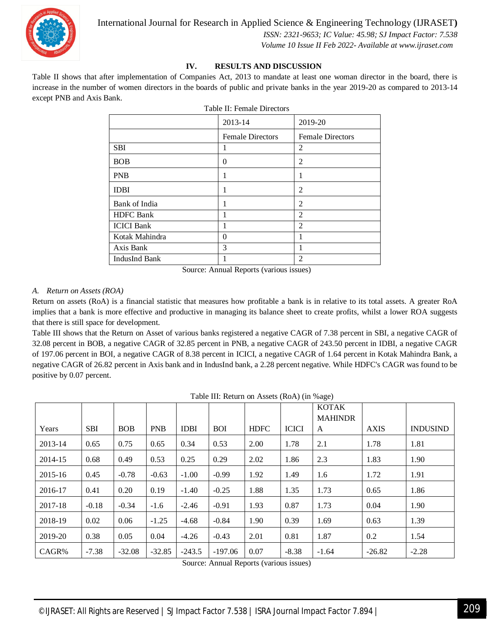

 *ISSN: 2321-9653; IC Value: 45.98; SJ Impact Factor: 7.538*

 *Volume 10 Issue II Feb 2022- Available at www.ijraset.com*

#### **IV. RESULTS AND DISCUSSION**

Table II shows that after implementation of Companies Act, 2013 to mandate at least one woman director in the board, there is increase in the number of women directors in the boards of public and private banks in the year 2019-20 as compared to 2013-14 except PNB and Axis Bank.

| raone 11. I emane Directors |                         |                         |  |  |  |  |  |  |
|-----------------------------|-------------------------|-------------------------|--|--|--|--|--|--|
|                             | 2013-14                 | 2019-20                 |  |  |  |  |  |  |
|                             | <b>Female Directors</b> | <b>Female Directors</b> |  |  |  |  |  |  |
| <b>SBI</b>                  | 1                       | 2                       |  |  |  |  |  |  |
| <b>BOB</b>                  | 0                       | $\overline{2}$          |  |  |  |  |  |  |
| <b>PNB</b>                  | 1                       | 1                       |  |  |  |  |  |  |
| <b>IDBI</b>                 |                         | 2                       |  |  |  |  |  |  |
| Bank of India               |                         | 2                       |  |  |  |  |  |  |
| <b>HDFC</b> Bank            |                         | $\overline{c}$          |  |  |  |  |  |  |
| <b>ICICI Bank</b>           |                         | $\overline{2}$          |  |  |  |  |  |  |
| Kotak Mahindra              | 0                       |                         |  |  |  |  |  |  |
| Axis Bank                   | 3                       | 1                       |  |  |  |  |  |  |
| <b>IndusInd Bank</b>        |                         | $\overline{c}$          |  |  |  |  |  |  |

Table II: Female Directors

Source: Annual Reports (various issues)

#### *A. Return on Assets (ROA)*

Return on assets (RoA) is a financial statistic that measures how profitable a bank is in relative to its total assets. A greater RoA implies that a bank is more effective and productive in managing its balance sheet to create profits, whilst a lower ROA suggests that there is still space for development.

Table III shows that the Return on Asset of various banks registered a negative CAGR of 7.38 percent in SBI, a negative CAGR of 32.08 percent in BOB, a negative CAGR of 32.85 percent in PNB, a negative CAGR of 243.50 percent in IDBI, a negative CAGR of 197.06 percent in BOI, a negative CAGR of 8.38 percent in ICICI, a negative CAGR of 1.64 percent in Kotak Mahindra Bank, a negative CAGR of 26.82 percent in Axis bank and in IndusInd bank, a 2.28 percent negative. While HDFC's CAGR was found to be positive by 0.07 percent.

|         |            |            |            |             |            |             |              | <b>KOTAK</b>   |             |                 |
|---------|------------|------------|------------|-------------|------------|-------------|--------------|----------------|-------------|-----------------|
|         |            |            |            |             |            |             |              | <b>MAHINDR</b> |             |                 |
| Years   | <b>SBI</b> | <b>BOB</b> | <b>PNB</b> | <b>IDBI</b> | <b>BOI</b> | <b>HDFC</b> | <b>ICICI</b> | A              | <b>AXIS</b> | <b>INDUSIND</b> |
| 2013-14 | 0.65       | 0.75       | 0.65       | 0.34        | 0.53       | 2.00        | 1.78         | 2.1            | 1.78        | 1.81            |
| 2014-15 | 0.68       | 0.49       | 0.53       | 0.25        | 0.29       | 2.02        | 1.86         | 2.3            | 1.83        | 1.90            |
| 2015-16 | 0.45       | $-0.78$    | $-0.63$    | $-1.00$     | $-0.99$    | 1.92        | 1.49         | 1.6            | 1.72        | 1.91            |
| 2016-17 | 0.41       | 0.20       | 0.19       | $-1.40$     | $-0.25$    | 1.88        | 1.35         | 1.73           | 0.65        | 1.86            |
| 2017-18 | $-0.18$    | $-0.34$    | $-1.6$     | $-2.46$     | $-0.91$    | 1.93        | 0.87         | 1.73           | 0.04        | 1.90            |
| 2018-19 | 0.02       | 0.06       | $-1.25$    | $-4.68$     | $-0.84$    | 1.90        | 0.39         | 1.69           | 0.63        | 1.39            |
| 2019-20 | 0.38       | 0.05       | 0.04       | $-4.26$     | $-0.43$    | 2.01        | 0.81         | 1.87           | 0.2         | 1.54            |
| CAGR%   | $-7.38$    | $-32.08$   | $-32.85$   | $-243.5$    | $-197.06$  | 0.07        | $-8.38$      | $-1.64$        | $-26.82$    | $-2.28$         |

Table III: Return on Assets (RoA) (in %age)

Source: Annual Reports (various issues)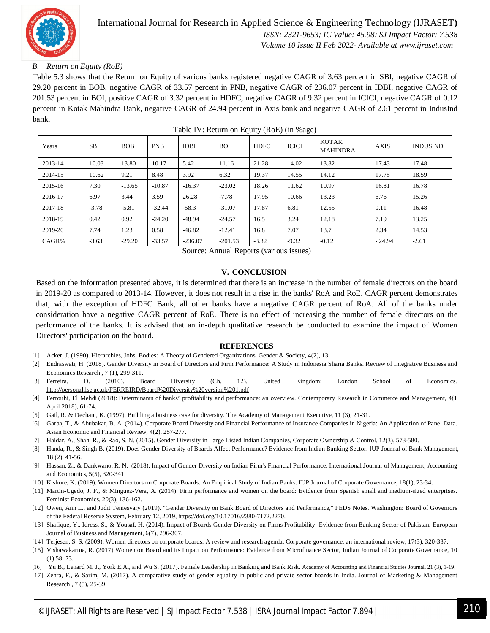

#### *B. Return on Equity (RoE)*

Table 5.3 shows that the Return on Equity of various banks registered negative CAGR of 3.63 percent in SBI, negative CAGR of 29.20 percent in BOB, negative CAGR of 33.57 percent in PNB, negative CAGR of 236.07 percent in IDBI, negative CAGR of 201.53 percent in BOI, positive CAGR of 3.32 percent in HDFC, negative CAGR of 9.32 percent in ICICI, negative CAGR of 0.12 percent in Kotak Mahindra Bank, negative CAGR of 24.94 percent in Axis bank and negative CAGR of 2.61 percent in IndusInd bank.

| Years   | <b>SBI</b> | <b>BOB</b> | <b>PNB</b> | <b>IDBI</b> | <b>BOI</b> | <b>HDFC</b> | <b>ICICI</b> | KOTAK<br><b>MAHINDRA</b> | <b>AXIS</b> | <b>INDUSIND</b> |
|---------|------------|------------|------------|-------------|------------|-------------|--------------|--------------------------|-------------|-----------------|
| 2013-14 | 10.03      | 13.80      | 10.17      | 5.42        | 11.16      | 21.28       | 14.02        | 13.82                    | 17.43       | 17.48           |
| 2014-15 | 10.62      | 9.21       | 8.48       | 3.92        | 6.32       | 19.37       | 14.55        | 14.12                    | 17.75       | 18.59           |
| 2015-16 | 7.30       | $-13.65$   | $-10.87$   | $-16.37$    | $-23.02$   | 18.26       | 11.62        | 10.97                    | 16.81       | 16.78           |
| 2016-17 | 6.97       | 3.44       | 3.59       | 26.28       | $-7.78$    | 17.95       | 10.66        | 13.23                    | 6.76        | 15.26           |
| 2017-18 | $-3.78$    | $-5.81$    | $-32.44$   | $-58.3$     | $-31.07$   | 17.87       | 6.81         | 12.55                    | 0.11        | 16.48           |
| 2018-19 | 0.42       | 0.92       | $-24.20$   | $-48.94$    | $-24.57$   | 16.5        | 3.24         | 12.18                    | 7.19        | 13.25           |
| 2019-20 | 7.74       | 1.23       | 0.58       | $-46.82$    | $-12.41$   | 16.8        | 7.07         | 13.7                     | 2.34        | 14.53           |
| CAGR%   | $-3.63$    | $-29.20$   | $-33.57$   | $-236.07$   | $-201.53$  | $-3.32$     | $-9.32$      | $-0.12$                  | $-24.94$    | $-2.61$         |

Table IV: Return on Equity (RoE) (in %age)

Source: Annual Reports (various issues)

#### **V. CONCLUSION**

Based on the information presented above, it is determined that there is an increase in the number of female directors on the board in 2019-20 as compared to 2013-14. However, it does not result in a rise in the banks' RoA and RoE. CAGR percent demonstrates that, with the exception of HDFC Bank, all other banks have a negative CAGR percent of RoA. All of the banks under consideration have a negative CAGR percent of RoE. There is no effect of increasing the number of female directors on the performance of the banks. It is advised that an in-depth qualitative research be conducted to examine the impact of Women Directors' participation on the board.

#### **REFERENCES**

- [1] Acker, J. (1990). Hierarchies, Jobs, Bodies: A Theory of Gendered Organizations. Gender & Society, 4(2), 13
- [2] Endraswati, H. (2018). Gender Diversity in Board of Directors and Firm Performance: A Study in Indonesia Sharia Banks. Review of Integrative Business and Economics Research , 7 (1), 299-311.
- [3] Ferreira, D. (2010). Board Diversity (Ch. 12). United Kingdom: London School of Economics. http://personal.lse.ac.uk/FERREIRD/Board%20Diversity%20version%201.pdf
- [4] Ferrouhi, El Mehdi (2018): Determinants of banks' profitability and performance: an overview. Contemporary Research in Commerce and Management, 4(1 April 2018), 61-74.
- [5] Gail, R. & Dechant, K. (1997). Building a business case for diversity. The Academy of Management Executive, 11 (3), 21-31.
- [6] Garba, T., & Abubakar, B. A. (2014). Corporate Board Diversity and Financial Performance of Insurance Companies in Nigeria: An Application of Panel Data. Asian Economic and Financial Review, 4(2), 257-277.
- [7] Haldar, A., Shah, R., & Rao, S. N. (2015). Gender Diversity in Large Listed Indian Companies, Corporate Ownership & Control, 12(3), 573-580.
- [8] Handa, R., & Singh B. (2019). Does Gender Diversity of Boards Affect Performance? Evidence from Indian Banking Sector. IUP Journal of Bank Management, 18 (2), 41-56.
- [9] Hassan, Z., & Dankwano, R. N. (2018). Impact of Gender Diversity on Indian Firm's Financial Performance. International Journal of Management, Accounting and Economics, 5(5), 320-341.
- [10] Kishore, K. (2019). Women Directors on Corporate Boards: An Empirical Study of Indian Banks. IUP Journal of Corporate Governance, 18(1), 23-34.
- [11] Martin-Ugedo, J. F., & Minguez-Vera, A. (2014). Firm performance and women on the board: Evidence from Spanish small and medium-sized enterprises. Feminist Economics, 20(3), 136-162.
- [12] Owen, Ann L., and Judit Temesvary (2019). "Gender Diversity on Bank Board of Directors and Performance," FEDS Notes. Washington: Board of Governors of the Federal Reserve System, February 12, 2019, https://doi.org/10.17016/2380-7172.2270.
- [13] Shafique, Y., Idress, S., & Yousaf, H. (2014). Impact of Boards Gender Diversity on Firms Profitability: Evidence from Banking Sector of Pakistan. European Journal of Business and Management, 6(7), 296-307.
- [14] Terjesen, S. S. (2009). Women directors on corporate boards: A review and research agenda. Corporate governance: an international review, 17(3), 320-337.
- [15] Vishawakarma, R. (2017) Women on Board and its Impact on Performance: Evidence from Microfinance Sector, Indian Journal of Corporate Governance, 10 (1) 58–73.
- [16] Yu B., Lenard M. J., York E.A., and Wu S. (2017). Female Leadership in Banking and Bank Risk. Academy of Accounting and Financial Studies Journal, 21 (3), 1-19.
- [17] Zehra, F., & Sarim, M. (2017). A comparative study of gender equality in public and private sector boards in India. Journal of Marketing & Management Research , 7 (5), 25-39.